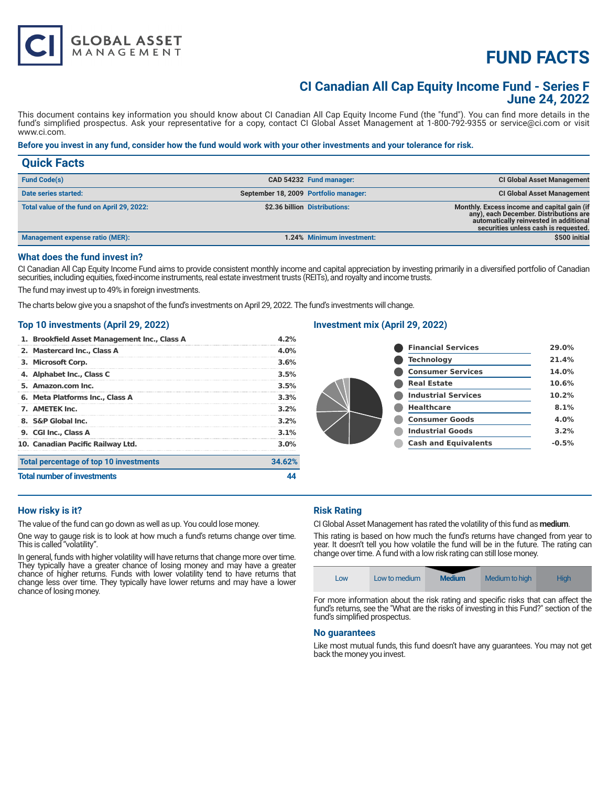# **FUND FACTS**

### **CI Canadian All Cap Equity Income Fund - Series F June 24, 2022**

This document contains key information you should know about CI Canadian All Cap Equity Income Fund (the "fund"). You can find more details in the fund's simplified prospectus. Ask your representative for a copy, contact CI Global Asset Management at 1-800-792-9355 or service@ci.com or visit www.ci.com.

#### **Before you invest in any fund, consider how the fund would work with your other investments and your tolerance for risk.**

| <b>Quick Facts</b>                         |                                       |                               |                                                                                                                                                                         |
|--------------------------------------------|---------------------------------------|-------------------------------|-------------------------------------------------------------------------------------------------------------------------------------------------------------------------|
| <b>Fund Code(s)</b>                        |                                       | CAD 54232 Fund manager:       | <b>CI Global Asset Management</b>                                                                                                                                       |
| Date series started:                       | September 18, 2009 Portfolio manager: |                               | <b>CI Global Asset Management</b>                                                                                                                                       |
| Total value of the fund on April 29, 2022: |                                       | \$2.36 billion Distributions: | Monthly. Excess income and capital gain (if<br>any), each December. Distributions are<br>automatically reinvested in additional<br>securities unless cash is requested. |
| <b>Management expense ratio (MER):</b>     |                                       | 1.24% Minimum investment:     | \$500 initial                                                                                                                                                           |

#### **What does the fund invest in?**

CI Canadian All Cap Equity Income Fund aims to provide consistent monthly income and capital appreciation by investing primarily in a diversified portfolio of Canadian securities, including equities, fixed-income instruments, real estate investment trusts (REITs), and royalty and income trusts.

The fund may invest up to 49% in foreign investments.

**GLOBAL ASSET**<br>MANAGEMENT

The charts below give you a snapshot of the fund's investments on April 29, 2022. The fund's investments will change.

#### **Top 10 investments (April 29, 2022)**

| 1. Brookfield Asset Management Inc., Class A | 4.2%    |
|----------------------------------------------|---------|
| 2. Mastercard Inc., Class A                  | $4.0\%$ |
| 3. Microsoft Corp.                           | 3.6%    |
| 4. Alphabet Inc., Class C                    | 3.5%    |
| 5. Amazon.com Inc.                           | 3.5%    |
| 6. Meta Platforms Inc., Class A              | 3.3%    |
| 7. AMETEK Inc.                               | $3.2\%$ |
| 8. S&P Global Inc.                           | 3.2%    |
| 9. CGI Inc., Class A                         | $3.1\%$ |
| 10. Canadian Pacific Railway Ltd.            | $3.0\%$ |
| Total percentage of top 10 investments       | 34.62%  |
| <b>Total number of investments</b>           |         |

#### **Investment mix (April 29, 2022)**

| <b>Financial Services</b>   | 29.0%   |
|-----------------------------|---------|
| Technology                  | 21.4%   |
| <b>Consumer Services</b>    | 14.0%   |
| <b>Real Estate</b>          | 10.6%   |
| <b>Industrial Services</b>  | 10.2%   |
| <b>Healthcare</b>           | 8.1%    |
| <b>Consumer Goods</b>       | 4.0%    |
| <b>Industrial Goods</b>     | 3.2%    |
| <b>Cash and Equivalents</b> | $-0.5%$ |

#### **How risky is it?**

The value of the fund can go down as well as up. You could lose money.

One way to gauge risk is to look at how much a fund's returns change over time. This is called "volatility".

In general, funds with higher volatility will have returns that change more over time. They typically have a greater chance of losing money and may have a greater chance of higher returns. Funds with lower volatility tend to have returns that change less over time. They typically have lower returns and may have a lower chance of losing money.

#### **Risk Rating**

CI Global Asset Management has rated the volatility of this fund as **medium**.

This rating is based on how much the fund's returns have changed from year to year. It doesn't tell you how volatile the fund will be in the future. The rating can change over time. A fund with a low risk rating can still lose money.

|--|

For more information about the risk rating and specific risks that can affect the fund's returns, see the "What are the risks of investing in this Fund?" section of the fund's simplified prospectus.

#### **No guarantees**

Like most mutual funds, this fund doesn't have any guarantees. You may not get back the money you invest.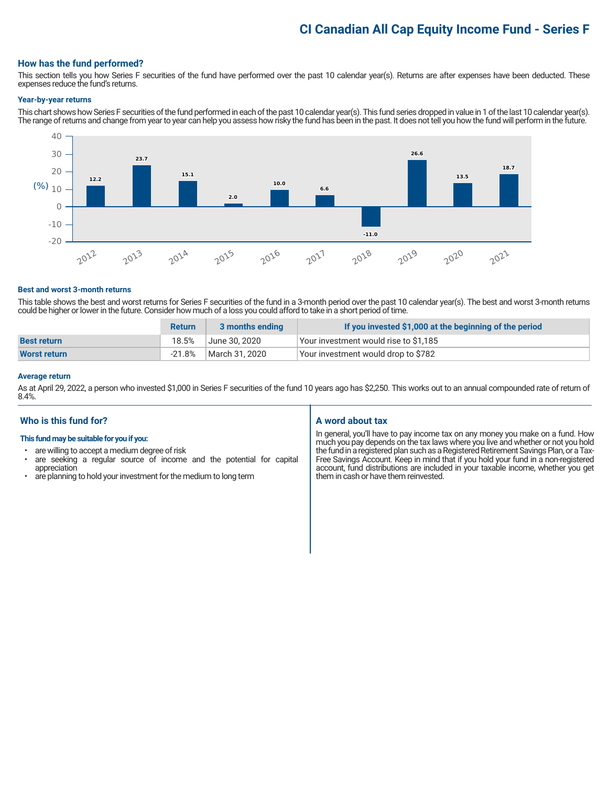### **CI Canadian All Cap Equity Income Fund - Series F**

#### **How has the fund performed?**

This section tells you how Series F securities of the fund have performed over the past 10 calendar year(s). Returns are after expenses have been deducted. These expenses reduce the fund's returns.

#### **Year-by-year returns**

This chart shows how Series F securities of the fund performed in each of the past 10 calendar year(s). This fund series dropped in value in 1 of the last 10 calendar year(s). The range of returns and change from year to year can help you assess how risky the fund has been in the past. It does not tell you how the fund will perform in the future.



#### **Best and worst 3-month returns**

This table shows the best and worst returns for Series F securities of the fund in a 3-month period over the past 10 calendar year(s). The best and worst 3-month returns could be higher or lower in the future. Consider how much of a loss you could afford to take in a short period of time.

|                     | <b>Return</b> | 3 months ending | If you invested \$1,000 at the beginning of the period |
|---------------------|---------------|-----------------|--------------------------------------------------------|
| <b>Best return</b>  | 18.5%         | June 30. 2020   | Your investment would rise to \$1,185                  |
| <b>Worst return</b> | $-21.8%$      | March 31. 2020  | Your investment would drop to \$782                    |

#### **Average return**

As at April 29, 2022, a person who invested \$1,000 in Series F securities of the fund 10 years ago has \$2,250. This works out to an annual compounded rate of return of 8.4%.

#### **Who is this fund for?**

#### **This fund may be suitable for you if you:**

- are willing to accept a medium degree of risk
- are seeking a regular source of income and the potential for capital appreciation
- are planning to hold your investment for the medium to long term

#### **A word about tax**

In general, you'll have to pay income tax on any money you make on a fund. How much you pay depends on the tax laws where you live and whether or not you hold the fund in a registered plan such as a Registered Retirement Savings Plan, or a Tax-Free Savings Account. Keep in mind that if you hold your fund in a non-registered account, fund distributions are included in your taxable income, whether you get them in cash or have them reinvested.